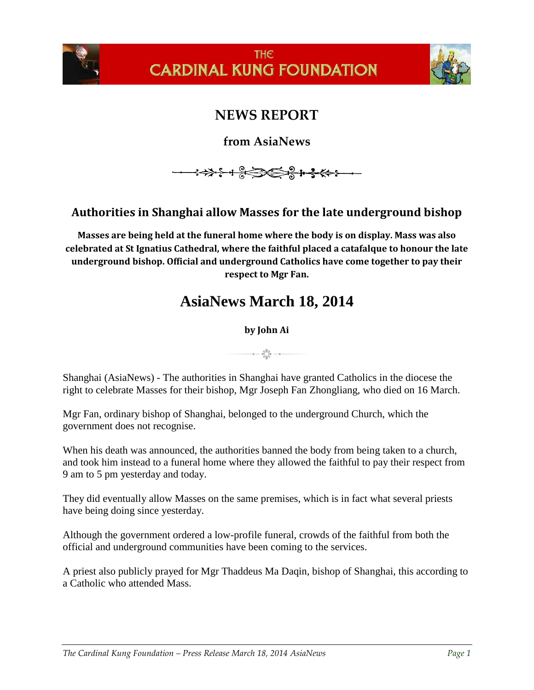



## **NEWS REPORT**

## **from AsiaNews**



## **Authorities in Shanghai allow Masses for the late underground bishop**

**Masses are being held at the funeral home where the body is on display. Mass was also celebrated at St Ignatius Cathedral, where the faithful placed a catafalque to honour the late underground bishop. Official and underground Catholics have come together to pay their respect to Mgr Fan.**

## **AsiaNews March 18, 2014**

**by John Ai**

-- 00 --

Shanghai (AsiaNews) - The authorities in Shanghai have granted Catholics in the diocese the right to celebrate Masses for their bishop, Mgr Joseph Fan Zhongliang, who died on 16 March.

Mgr Fan, ordinary bishop of Shanghai, belonged to the underground Church, which the government does not recognise.

When his death was announced, the authorities banned the body from being taken to a church, and took him instead to a funeral home where they allowed the faithful to pay their respect from 9 am to 5 pm yesterday and today.

They did eventually allow Masses on the same premises, which is in fact what several priests have being doing since yesterday.

Although the government ordered a low-profile funeral, crowds of the faithful from both the official and underground communities have been coming to the services.

A priest also publicly prayed for Mgr Thaddeus Ma Daqin, bishop of Shanghai, this according to a Catholic who attended Mass.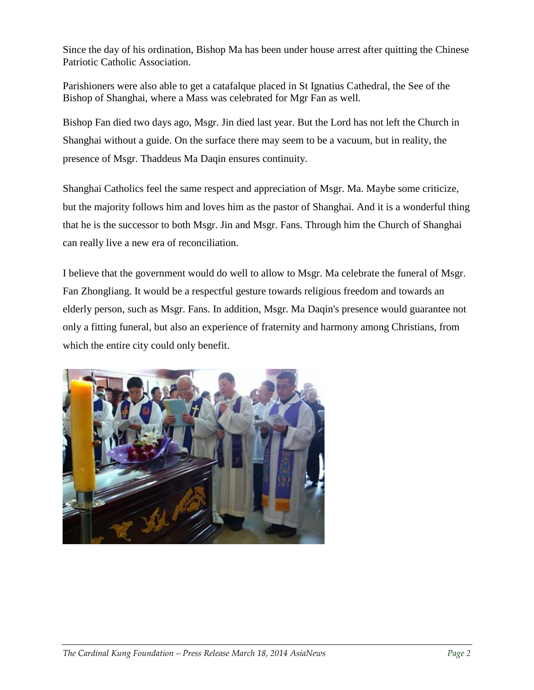Since the day of his ordination, Bishop Ma has been under house arrest after quitting the Chinese Patriotic Catholic Association.

Parishioners were also able to get a catafalque placed in St Ignatius Cathedral, the See of the Bishop of Shanghai, where a Mass was celebrated for Mgr Fan as well.

Bishop Fan died two days ago, Msgr. Jin died last year. But the Lord has not left the Church in Shanghai without a guide. On the surface there may seem to be a vacuum, but in reality, the presence of Msgr. Thaddeus Ma Daqin ensures continuity.

Shanghai Catholics feel the same respect and appreciation of Msgr. Ma. Maybe some criticize, but the majority follows him and loves him as the pastor of Shanghai. And it is a wonderful thing that he is the successor to both Msgr. Jin and Msgr. Fans. Through him the Church of Shanghai can really live a new era of reconciliation.

I believe that the government would do well to allow to Msgr. Ma celebrate the funeral of Msgr. Fan Zhongliang. It would be a respectful gesture towards religious freedom and towards an elderly person, such as Msgr. Fans. In addition, Msgr. Ma Daqin's presence would guarantee not only a fitting funeral, but also an experience of fraternity and harmony among Christians, from which the entire city could only benefit.